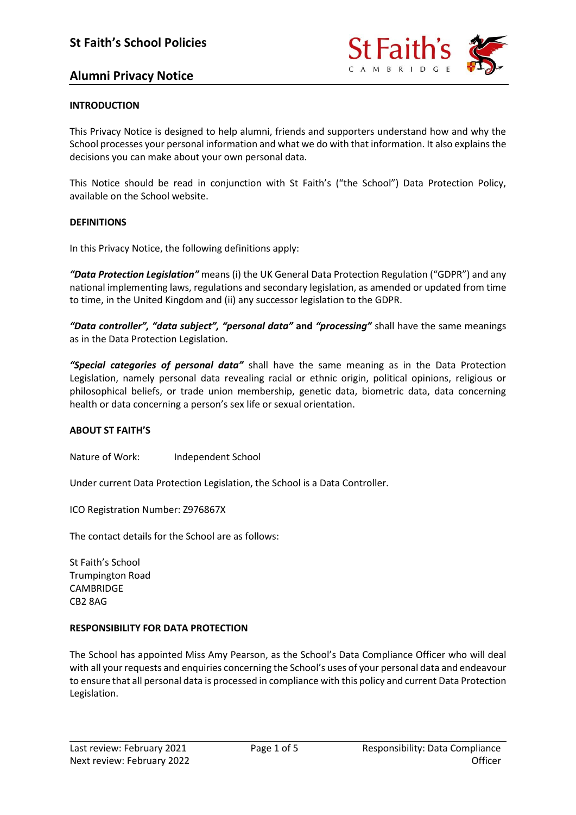

# **Alumni Privacy Notice**

#### **INTRODUCTION**

This Privacy Notice is designed to help alumni, friends and supporters understand how and why the School processes your personal information and what we do with that information. It also explains the decisions you can make about your own personal data.

This Notice should be read in conjunction with St Faith's ("the School") Data Protection Policy, available on the School website.

#### **DEFINITIONS**

In this Privacy Notice, the following definitions apply:

*"Data Protection Legislation"* means (i) the UK General Data Protection Regulation ("GDPR") and any national implementing laws, regulations and secondary legislation, as amended or updated from time to time, in the United Kingdom and (ii) any successor legislation to the GDPR.

*"Data controller", "data subject", "personal data"* **and** *"processing"* shall have the same meanings as in the Data Protection Legislation.

*"Special categories of personal data"* shall have the same meaning as in the Data Protection Legislation, namely personal data revealing racial or ethnic origin, political opinions, religious or philosophical beliefs, or trade union membership, genetic data, biometric data, data concerning health or data concerning a person's sex life or sexual orientation.

#### **ABOUT ST FAITH'S**

Nature of Work: Independent School

Under current Data Protection Legislation, the School is a Data Controller.

ICO Registration Number: Z976867X

The contact details for the School are as follows:

St Faith's School Trumpington Road CAMBRIDGE CB2 8AG

#### **RESPONSIBILITY FOR DATA PROTECTION**

The School has appointed Miss Amy Pearson, as the School's Data Compliance Officer who will deal with all your requests and enquiries concerning the School's uses of your personal data and endeavour to ensure that all personal data is processed in compliance with this policy and current Data Protection Legislation.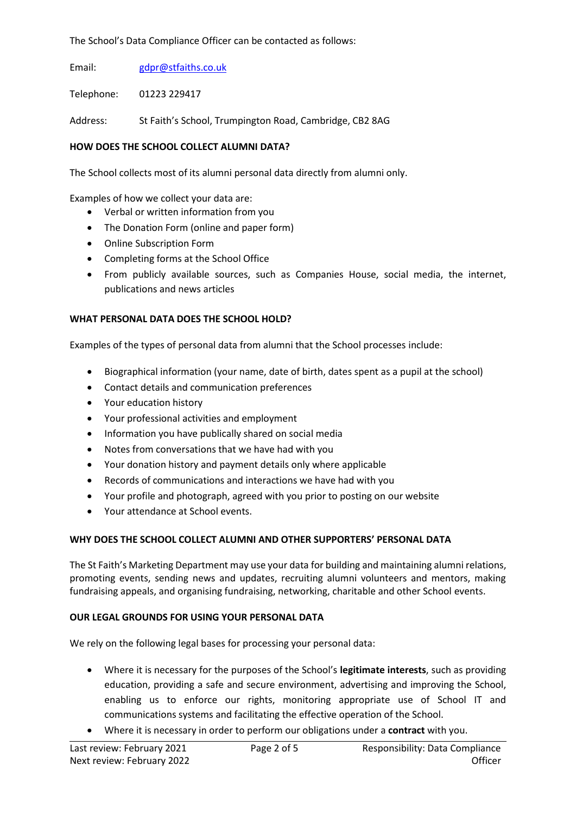The School's Data Compliance Officer can be contacted as follows:

Email: [gdpr@stfaiths.co.uk](mailto:gdpr@stfaiths.co.uk)

Telephone: 01223 229417

Address: St Faith's School, Trumpington Road, Cambridge, CB2 8AG

## **HOW DOES THE SCHOOL COLLECT ALUMNI DATA?**

The School collects most of its alumni personal data directly from alumni only.

Examples of how we collect your data are:

- Verbal or written information from you
- The Donation Form (online and paper form)
- Online Subscription Form
- Completing forms at the School Office
- From publicly available sources, such as Companies House, social media, the internet, publications and news articles

## **WHAT PERSONAL DATA DOES THE SCHOOL HOLD?**

Examples of the types of personal data from alumni that the School processes include:

- Biographical information (your name, date of birth, dates spent as a pupil at the school)
- Contact details and communication preferences
- Your education history
- Your professional activities and employment
- Information you have publically shared on social media
- Notes from conversations that we have had with you
- Your donation history and payment details only where applicable
- Records of communications and interactions we have had with you
- Your profile and photograph, agreed with you prior to posting on our website
- Your attendance at School events.

## **WHY DOES THE SCHOOL COLLECT ALUMNI AND OTHER SUPPORTERS' PERSONAL DATA**

The St Faith's Marketing Department may use your data for building and maintaining alumni relations, promoting events, sending news and updates, recruiting alumni volunteers and mentors, making fundraising appeals, and organising fundraising, networking, charitable and other School events.

## **OUR LEGAL GROUNDS FOR USING YOUR PERSONAL DATA**

We rely on the following legal bases for processing your personal data:

- Where it is necessary for the purposes of the School's **legitimate interests**, such as providing education, providing a safe and secure environment, advertising and improving the School, enabling us to enforce our rights, monitoring appropriate use of School IT and communications systems and facilitating the effective operation of the School.
- Where it is necessary in order to perform our obligations under a **contract** with you.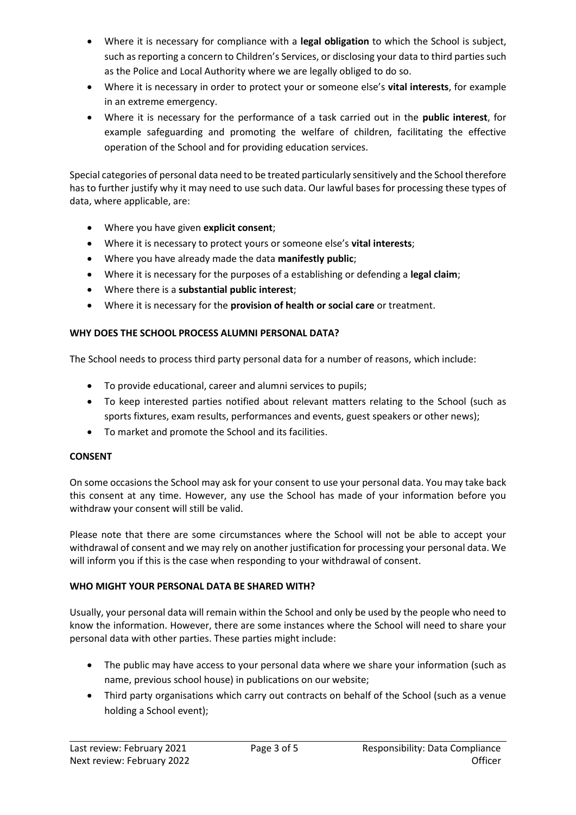- Where it is necessary for compliance with a **legal obligation** to which the School is subject, such as reporting a concern to Children's Services, or disclosing your data to third parties such as the Police and Local Authority where we are legally obliged to do so.
- Where it is necessary in order to protect your or someone else's **vital interests**, for example in an extreme emergency.
- Where it is necessary for the performance of a task carried out in the **public interest**, for example safeguarding and promoting the welfare of children, facilitating the effective operation of the School and for providing education services.

Special categories of personal data need to be treated particularly sensitively and the School therefore has to further justify why it may need to use such data. Our lawful bases for processing these types of data, where applicable, are:

- Where you have given **explicit consent**;
- Where it is necessary to protect yours or someone else's **vital interests**;
- Where you have already made the data **manifestly public**;
- Where it is necessary for the purposes of a establishing or defending a **legal claim**;
- Where there is a **substantial public interest**;
- Where it is necessary for the **provision of health or social care** or treatment.

## **WHY DOES THE SCHOOL PROCESS ALUMNI PERSONAL DATA?**

The School needs to process third party personal data for a number of reasons, which include:

- To provide educational, career and alumni services to pupils;
- To keep interested parties notified about relevant matters relating to the School (such as sports fixtures, exam results, performances and events, guest speakers or other news);
- To market and promote the School and its facilities.

## **CONSENT**

On some occasions the School may ask for your consent to use your personal data. You may take back this consent at any time. However, any use the School has made of your information before you withdraw your consent will still be valid.

Please note that there are some circumstances where the School will not be able to accept your withdrawal of consent and we may rely on another justification for processing your personal data. We will inform you if this is the case when responding to your withdrawal of consent.

#### **WHO MIGHT YOUR PERSONAL DATA BE SHARED WITH?**

Usually, your personal data will remain within the School and only be used by the people who need to know the information. However, there are some instances where the School will need to share your personal data with other parties. These parties might include:

- The public may have access to your personal data where we share your information (such as name, previous school house) in publications on our website;
- Third party organisations which carry out contracts on behalf of the School (such as a venue holding a School event);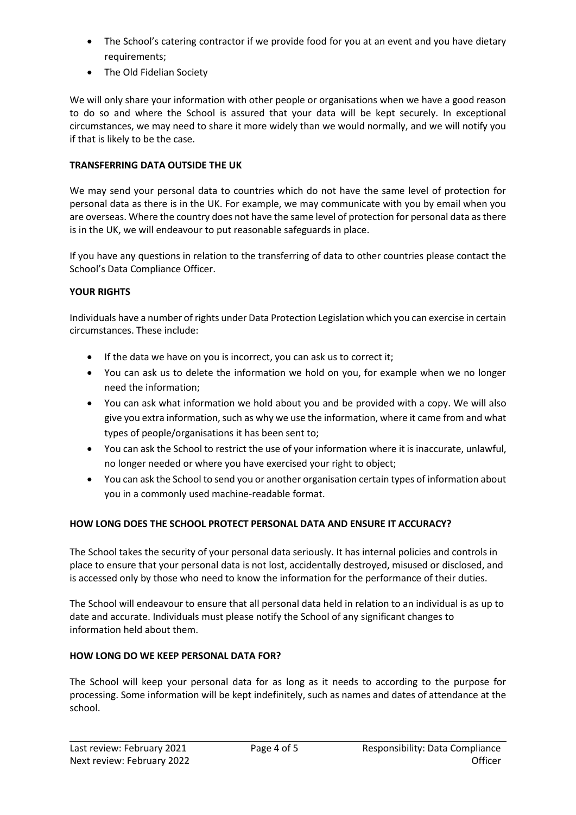- The School's catering contractor if we provide food for you at an event and you have dietary requirements;
- The Old Fidelian Society

We will only share your information with other people or organisations when we have a good reason to do so and where the School is assured that your data will be kept securely. In exceptional circumstances, we may need to share it more widely than we would normally, and we will notify you if that is likely to be the case.

## **TRANSFERRING DATA OUTSIDE THE UK**

We may send your personal data to countries which do not have the same level of protection for personal data as there is in the UK. For example, we may communicate with you by email when you are overseas. Where the country does not have the same level of protection for personal data as there is in the UK, we will endeavour to put reasonable safeguards in place.

If you have any questions in relation to the transferring of data to other countries please contact the School's Data Compliance Officer.

## **YOUR RIGHTS**

Individuals have a number of rights under Data Protection Legislation which you can exercise in certain circumstances. These include:

- If the data we have on you is incorrect, you can ask us to correct it;
- You can ask us to delete the information we hold on you, for example when we no longer need the information;
- You can ask what information we hold about you and be provided with a copy. We will also give you extra information, such as why we use the information, where it came from and what types of people/organisations it has been sent to;
- You can ask the School to restrict the use of your information where it is inaccurate, unlawful, no longer needed or where you have exercised your right to object;
- You can ask the School to send you or another organisation certain types of information about you in a commonly used machine-readable format.

## **HOW LONG DOES THE SCHOOL PROTECT PERSONAL DATA AND ENSURE IT ACCURACY?**

The School takes the security of your personal data seriously. It has internal policies and controls in place to ensure that your personal data is not lost, accidentally destroyed, misused or disclosed, and is accessed only by those who need to know the information for the performance of their duties.

The School will endeavour to ensure that all personal data held in relation to an individual is as up to date and accurate. Individuals must please notify the School of any significant changes to information held about them.

## **HOW LONG DO WE KEEP PERSONAL DATA FOR?**

The School will keep your personal data for as long as it needs to according to the purpose for processing. Some information will be kept indefinitely, such as names and dates of attendance at the school.